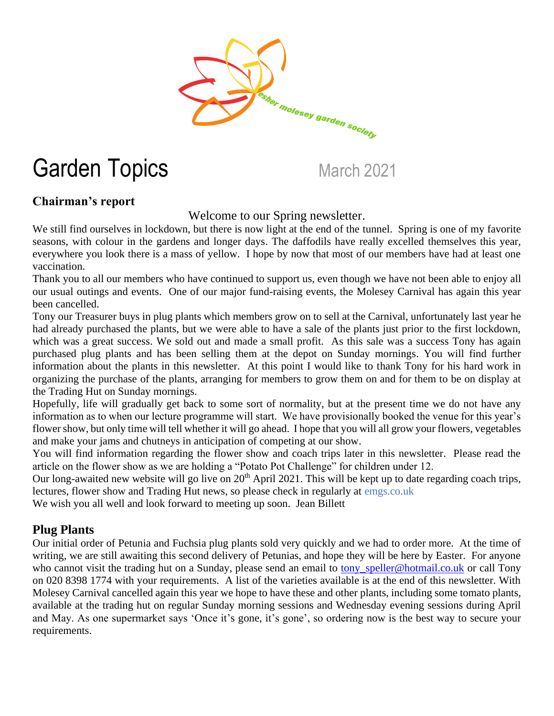

# Garden Topics March 2021

## **Chairman's report**

Welcome to our Spring newsletter.

We still find ourselves in lockdown, but there is now light at the end of the tunnel. Spring is one of my favorite seasons, with colour in the gardens and longer days. The daffodils have really excelled themselves this year, everywhere you look there is a mass of yellow. I hope by now that most of our members have had at least one vaccination.

Thank you to all our members who have continued to support us, even though we have not been able to enjoy all our usual outings and events. One of our major fund-raising events, the Molesey Carnival has again this year been cancelled.

Tony our Treasurer buys in plug plants which members grow on to sell at the Carnival, unfortunately last year he had already purchased the plants, but we were able to have a sale of the plants just prior to the first lockdown, which was a great success. We sold out and made a small profit. As this sale was a success Tony has again purchased plug plants and has been selling them at the depot on Sunday mornings. You will find further information about the plants in this newsletter. At this point I would like to thank Tony for his hard work in organizing the purchase of the plants, arranging for members to grow them on and for them to be on display at the Trading Hut on Sunday mornings.

Hopefully, life will gradually get back to some sort of normality, but at the present time we do not have any information as to when our lecture programme will start. We have provisionally booked the venue for this year's flower show, but only time will tell whether it will go ahead. I hope that you will all grow your flowers, vegetables and make your jams and chutneys in anticipation of competing at our show.

You will find information regarding the flower show and coach trips later in this newsletter. Please read the article on the flower show as we are holding a "Potato Pot Challenge" for children under 12.

Our long-awaited new website will go live on  $20<sup>th</sup>$  April 2021. This will be kept up to date regarding coach trips, lectures, flower show and Trading Hut news, so please check in regularly at emgs.co.uk

We wish you all well and look forward to meeting up soon. Jean Billett

### **Plug Plants**

Our initial order of Petunia and Fuchsia plug plants sold very quickly and we had to order more. At the time of writing, we are still awaiting this second delivery of Petunias, and hope they will be here by Easter. For anyone who cannot visit the trading hut on a Sunday, please send an email to tony speller@hotmail.co.uk or call Tony on 020 8398 1774 with your requirements. A list of the varieties available is at the end of this newsletter. With Molesey Carnival cancelled again this year we hope to have these and other plants, including some tomato plants, available at the trading hut on regular Sunday morning sessions and Wednesday evening sessions during April and May. As one supermarket says 'Once it's gone, it's gone', so ordering now is the best way to secure your requirements.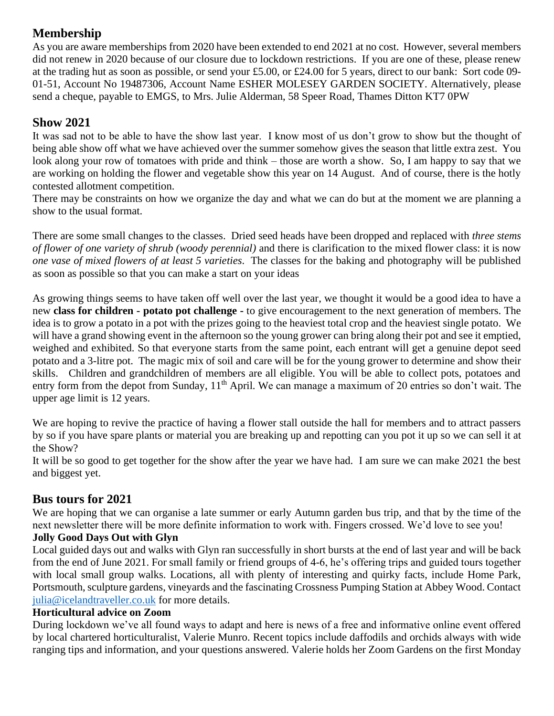# **Membership**

As you are aware memberships from 2020 have been extended to end 2021 at no cost. However, several members did not renew in 2020 because of our closure due to lockdown restrictions. If you are one of these, please renew at the trading hut as soon as possible, or send your £5.00, or £24.00 for 5 years, direct to our bank: Sort code 09- 01-51, Account No 19487306, Account Name ESHER MOLESEY GARDEN SOCIETY. Alternatively, please send a cheque, payable to EMGS, to Mrs. Julie Alderman, 58 Speer Road, Thames Ditton KT7 0PW

## **Show 2021**

It was sad not to be able to have the show last year. I know most of us don't grow to show but the thought of being able show off what we have achieved over the summer somehow gives the season that little extra zest. You look along your row of tomatoes with pride and think – those are worth a show. So, I am happy to say that we are working on holding the flower and vegetable show this year on 14 August. And of course, there is the hotly contested allotment competition.

There may be constraints on how we organize the day and what we can do but at the moment we are planning a show to the usual format.

There are some small changes to the classes. Dried seed heads have been dropped and replaced with *three stems of flower of one variety of shrub (woody perennial)* and there is clarification to the mixed flower class: it is now *one vase of mixed flowers of at least 5 varieties*. The classes for the baking and photography will be published as soon as possible so that you can make a start on your ideas

As growing things seems to have taken off well over the last year, we thought it would be a good idea to have a new **class for children - potato pot challenge -** to give encouragement to the next generation of members. The idea is to grow a potato in a pot with the prizes going to the heaviest total crop and the heaviest single potato. We will have a grand showing event in the afternoon so the young grower can bring along their pot and see it emptied, weighed and exhibited. So that everyone starts from the same point, each entrant will get a genuine depot seed potato and a 3-litre pot. The magic mix of soil and care will be for the young grower to determine and show their skills. Children and grandchildren of members are all eligible. You will be able to collect pots, potatoes and entry form from the depot from Sunday, 11<sup>th</sup> April. We can manage a maximum of 20 entries so don't wait. The upper age limit is 12 years.

We are hoping to revive the practice of having a flower stall outside the hall for members and to attract passers by so if you have spare plants or material you are breaking up and repotting can you pot it up so we can sell it at the Show?

It will be so good to get together for the show after the year we have had. I am sure we can make 2021 the best and biggest yet.

### **Bus tours for 2021**

We are hoping that we can organise a late summer or early Autumn garden bus trip, and that by the time of the next newsletter there will be more definite information to work with. Fingers crossed. We'd love to see you!

#### **Jolly Good Days Out with Glyn**

Local guided days out and walks with Glyn ran successfully in short bursts at the end of last year and will be back from the end of June 2021. For small family or friend groups of 4-6, he's offering trips and guided tours together with local small group walks. Locations, all with plenty of interesting and quirky facts, include Home Park, Portsmouth, sculpture gardens, vineyards and the fascinating Crossness Pumping Station at Abbey Wood. Contact [julia@icelandtraveller.co.uk](mailto:julia@icelandtraveller.co.uk) for more details.

#### **Horticultural advice on Zoom**

During lockdown we've all found ways to adapt and here is news of a free and informative online event offered by local chartered horticulturalist, Valerie Munro. Recent topics include daffodils and orchids always with wide ranging tips and information, and your questions answered. Valerie holds her Zoom Gardens on the first Monday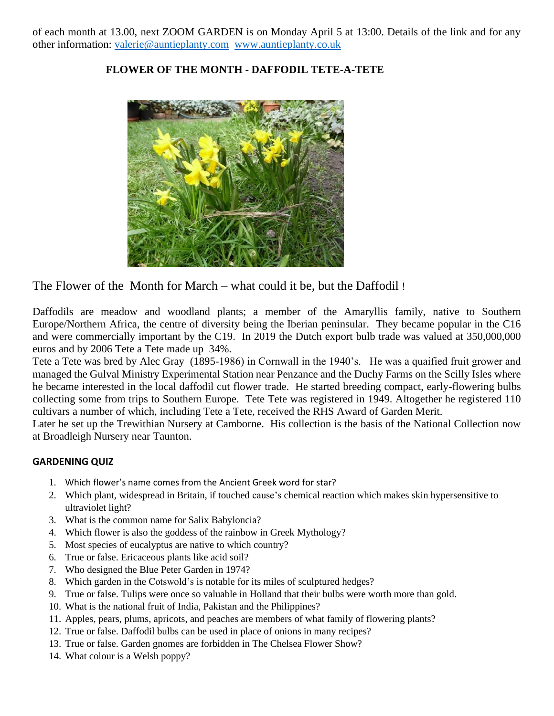of each month at 13.00, next ZOOM GARDEN is on Monday April 5 at 13:00. Details of the link and for any other information: [valerie@auntieplanty.com](mailto:valerie@auntieplanty.com) [www.auntieplanty.co.uk](http://www.auntieplanty.co.uk/)

#### **FLOWER OF THE MONTH - DAFFODIL TETE-A-TETE**



The Flower of the Month for March – what could it be, but the Daffodil !

Daffodils are meadow and woodland plants; a member of the Amaryllis family, native to Southern Europe/Northern Africa, the centre of diversity being the Iberian peninsular. They became popular in the C16 and were commercially important by the C19. In 2019 the Dutch export bulb trade was valued at 350,000,000 euros and by 2006 Tete a Tete made up 34%.

Tete a Tete was bred by Alec Gray (1895-1986) in Cornwall in the 1940's. He was a quaified fruit grower and managed the Gulval Ministry Experimental Station near Penzance and the Duchy Farms on the Scilly Isles where he became interested in the local daffodil cut flower trade. He started breeding compact, early-flowering bulbs collecting some from trips to Southern Europe. Tete Tete was registered in 1949. Altogether he registered 110 cultivars a number of which, including Tete a Tete, received the RHS Award of Garden Merit.

Later he set up the Trewithian Nursery at Camborne. His collection is the basis of the National Collection now at Broadleigh Nursery near Taunton.

#### **GARDENING QUIZ**

- 1. Which flower's name comes from the Ancient Greek word for star?
- 2. Which plant, widespread in Britain, if touched cause's chemical reaction which makes skin hypersensitive to ultraviolet light?
- 3. What is the common name for Salix Babyloncia?
- 4. Which flower is also the goddess of the rainbow in Greek Mythology?
- 5. Most species of eucalyptus are native to which country?
- 6. True or false. Ericaceous plants like acid soil?
- 7. Who designed the Blue Peter Garden in 1974?
- 8. Which garden in the Cotswold's is notable for its miles of sculptured hedges?
- 9. True or false. Tulips were once so valuable in Holland that their bulbs were worth more than gold.
- 10. What is the national fruit of India, Pakistan and the Philippines?
- 11. Apples, pears, plums, apricots, and peaches are members of what family of flowering plants?
- 12. True or false. Daffodil bulbs can be used in place of onions in many recipes?
- 13. True or false. Garden gnomes are forbidden in The Chelsea Flower Show?
- 14. What colour is a Welsh poppy?